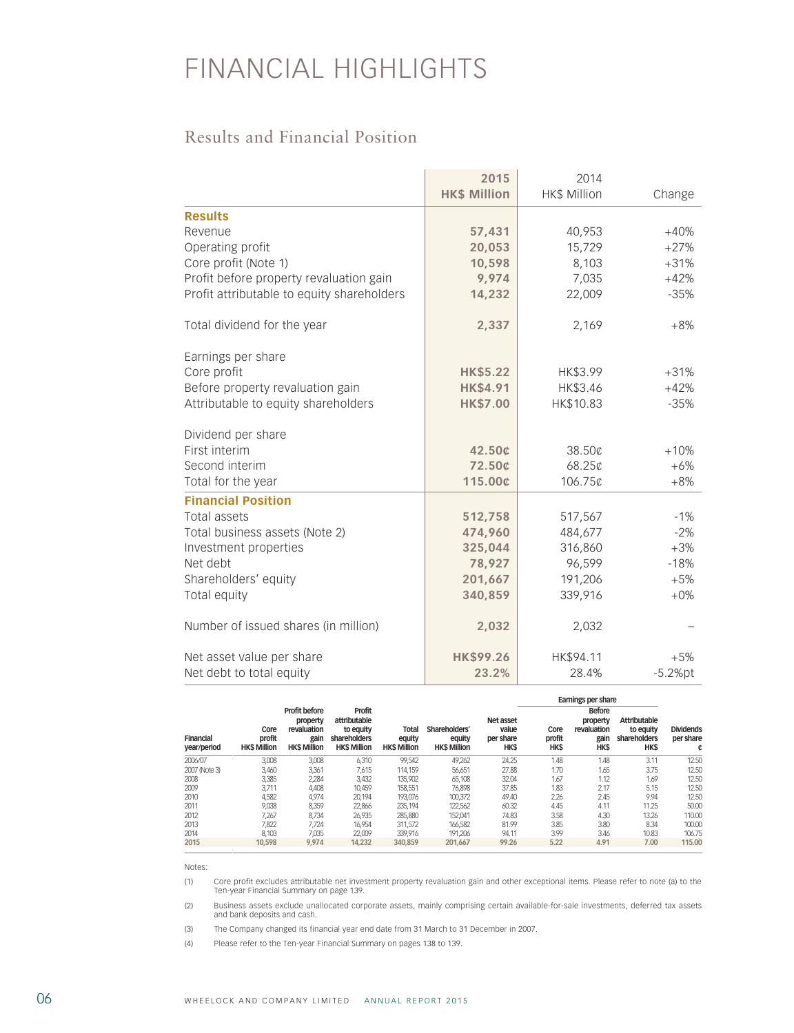## FINANCIAL HIGHLIGHTS

## Results and Financial Position

|                                            | 2015<br><b>HK\$ Million</b> | 2014<br><b>HK\$ Million</b> | Change     |
|--------------------------------------------|-----------------------------|-----------------------------|------------|
|                                            |                             |                             |            |
| <b>Results</b>                             |                             |                             |            |
| Revenue                                    | 57,431                      | 40,953                      | $+40%$     |
| Operating profit                           | 20,053                      | 15,729                      | $+27%$     |
| Core profit (Note 1)                       | 10,598                      | 8,103                       | $+31%$     |
| Profit before property revaluation gain    | 9,974                       | 7,035                       | $+42%$     |
| Profit attributable to equity shareholders | 14,232                      | 22,009                      | $-35%$     |
| Total dividend for the year                | 2,337                       | 2,169                       | $+8%$      |
| Earnings per share                         |                             |                             |            |
| Core profit                                | <b>HK\$5.22</b>             | HK\$3.99                    | $+31%$     |
| Before property revaluation gain           | <b>HK\$4.91</b>             | HK\$3.46                    | $+42%$     |
| Attributable to equity shareholders        | <b>HK\$7.00</b>             | HK\$10.83                   | $-35%$     |
| Dividend per share                         |                             |                             |            |
| First interim                              | 42.50¢                      | 38.50¢                      | $+10%$     |
| Second interim                             | 72.50¢                      | 68.25¢                      | $+6%$      |
| Total for the year                         | 115.00¢                     | 106.75¢                     | $+8%$      |
| <b>Financial Position</b>                  |                             |                             |            |
| Total assets                               | 512,758                     | 517,567                     | $-1%$      |
| Total business assets (Note 2)             | 474,960                     | 484,677                     | $-2%$      |
| Investment properties                      | 325,044                     | 316,860                     | $+3%$      |
| Net debt                                   | 78,927                      | 96,599                      | $-18%$     |
| Shareholders' equity                       | 201,667                     | 191,206                     | $+5%$      |
| Total equity                               | 340,859                     | 339,916                     | $+0\%$     |
| Number of issued shares (in million)       | 2,032                       | 2,032                       |            |
| Net asset value per share                  | <b>HK\$99.26</b>            | HK\$94.11                   | $+5%$      |
| Net debt to total equity                   | 23.2%                       | 28.4%                       | $-5.2%$ pt |

|                                 | Core<br>profit<br><b>HKS Million</b> | Profit before<br>property<br>revaluation<br>gain<br><b>HKS Million</b> | <b>Profit</b><br>attributable<br>to equity<br>shareholders<br><b>HK\$ Million</b> | Total<br>equity<br><b>HKS Million</b> |                                               | Net asset<br>value<br>per share<br><b>HK\$</b> | Earnings per share     |                                                                 |                                                                |                                    |
|---------------------------------|--------------------------------------|------------------------------------------------------------------------|-----------------------------------------------------------------------------------|---------------------------------------|-----------------------------------------------|------------------------------------------------|------------------------|-----------------------------------------------------------------|----------------------------------------------------------------|------------------------------------|
| <b>Financial</b><br>year/period |                                      |                                                                        |                                                                                   |                                       | Shareholders'<br>eauity<br><b>HKS Million</b> |                                                | Core<br>profit<br>HK\$ | <b>Before</b><br>property<br>revaluation<br>gain<br><b>HK\$</b> | <b>Attributable</b><br>to equity<br>shareholders<br><b>HKS</b> | <b>Dividends</b><br>per share<br>¢ |
| 2006/07                         | 3,008                                | 3,008                                                                  | 6.310                                                                             | 99,542                                | 49,262                                        | 24.25                                          | 1.48                   | 1.48                                                            | 3.11                                                           | 12.50                              |
| 2007 (Note 3)                   | 3,460                                | 3,361                                                                  | 7,615                                                                             | 114.159                               | 56,651                                        | 27.88                                          | 1.70                   | 1.65                                                            | 3.75                                                           | 12.50                              |
| 2008                            | 3,385                                | 2,284                                                                  | 3.432                                                                             | 135,902                               | 65.108                                        | 32.04                                          | 1.67                   | 1.12                                                            | 1.69                                                           | 12.50                              |
| 2009                            | 3.711                                | 4.408                                                                  | 10.459                                                                            | 158.551                               | 76.898                                        | 37.85                                          | 1.83                   | 2.17                                                            | 5.15                                                           | 12.50                              |
| 2010                            | 4,582                                | 4,974                                                                  | 20.194                                                                            | 193.076                               | 100.372                                       | 49.40                                          | 2.26                   | 2.45                                                            | 9.94                                                           | 12.50                              |
| 2011                            | 9,038                                | 8,359                                                                  | 22,866                                                                            | 235,194                               | 122,562                                       | 60.32                                          | 4.45                   | 4.11                                                            | 11.25                                                          | 50.00                              |
| 2012                            | 7,267                                | 8,734                                                                  | 26,935                                                                            | 285,880                               | 152,041                                       | 74.83                                          | 3.58                   | 4.30                                                            | 13.26                                                          | 110.00                             |
| 2013                            | 7.822                                | 7.724                                                                  | 16.954                                                                            | 311.572                               | 166,582                                       | 81.99                                          | 3.85                   | 3.80                                                            | 8.34                                                           | 100.00                             |
| 2014                            | 8.103                                | 7.035                                                                  | 22,009                                                                            | 339.916                               | 191.206                                       | 94.11                                          | 3.99                   | 3.46                                                            | 10.83                                                          | 106.75                             |
| 2015                            | 10.598                               | 9.974                                                                  | 14.232                                                                            | 340.859                               | 201.667                                       | 99.26                                          | 5.22                   | 4.91                                                            | 7.00                                                           | 115.00                             |

Notes:

(1) Core profit excludes attributable net investment property revaluation gain and other exceptional items. Please refer to note (a) to the Ten-year Financial Summary on page 139.

(2) Business assets exclude unallocated corporate assets, mainly comprising certain available-for-sale investments, deferred tax assets and bank deposits and cash.

(3) The Company changed its financial year end date from 31 March to 31 December in 2007.

(4) Please refer to the Ten-year Financial Summary on pages 138 to 139.